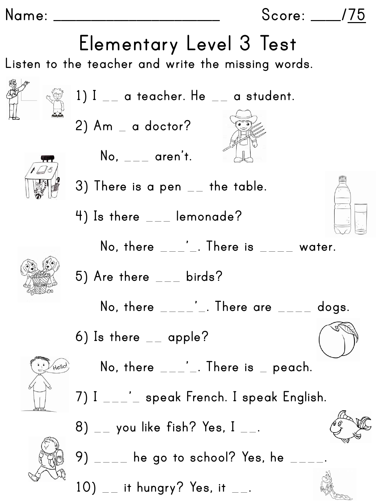**Name: \_\_\_\_\_\_\_\_\_\_\_\_\_\_\_\_\_\_\_\_\_\_ Score: \_\_\_\_/75**

## **Elementary Level 3 Test**

**Listen to the teacher and write the missing words.**





**2) Am** \_ **a doctor?**

**No,** \_\_\_ **aren't.**











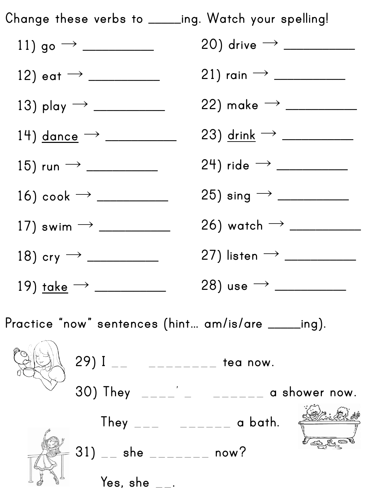

**Practice "now" sentences (hint… am/is/are \_\_\_\_\_ing).**

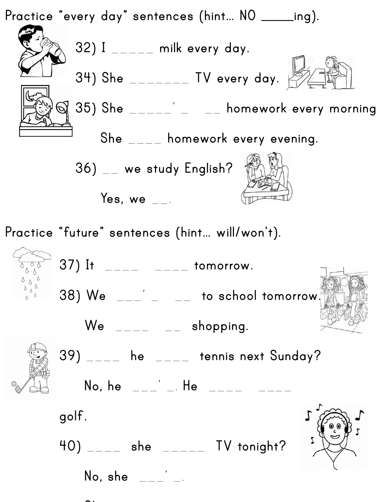

No, she

 $\bullet$  **to music.**  $\bullet$  **to music.**  $\bullet$  **to music.**  $\bullet$  **to music.**  $\bullet$  **to music.**  $\bullet$  **to music.**  $\bullet$  **to music.**  $\bullet$  **to music.**  $\bullet$  **to music.**  $\bullet$  **to music.**  $\bullet$  **to music.**  $\bullet$  **to music.**  $\bullet$  **to music.**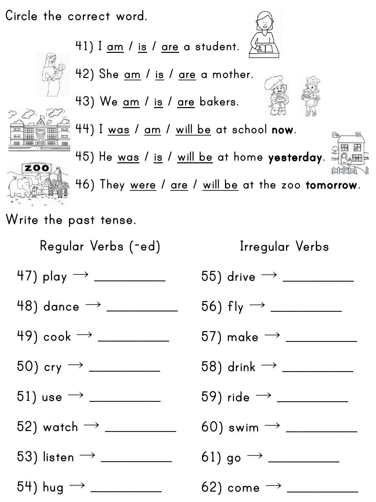**Circle the correct word.**





**ZOO** 



**43) We am / is / are bakers.**







**46) They were / are / will be at the zoo tomorrow.**

**Write the past tense.**

**Regular Verbs (-ed)**

## **Irregular Verbs**

**47) play** → **\_\_\_\_\_\_\_\_\_\_\_**

- **48) dance** → **\_\_\_\_\_\_\_\_\_\_\_**
- **49) cook** → **\_\_\_\_\_\_\_\_\_\_\_**
- **50) cry** → **\_\_\_\_\_\_\_\_\_\_\_**
- **51) use** → **\_\_\_\_\_\_\_\_\_\_\_**
- **52) watch** → **\_\_\_\_\_\_\_\_\_\_\_**
- **53) listen** → **\_\_\_\_\_\_\_\_\_\_\_**

**54) hug** → **\_\_\_\_\_\_\_\_\_\_\_**

| 55) drive $\rightarrow \_$  |
|-----------------------------|
| 56) fly $\rightarrow$ ____  |
| $57)$ make $\rightarrow$ __ |
| 58) drink $\rightarrow \_$  |
| 59) ride $\rightarrow$ ____ |
| 60) swim $\rightarrow$ $\_$ |
| 61) go $\rightarrow$ ____   |
| 62) come $\rightarrow$      |